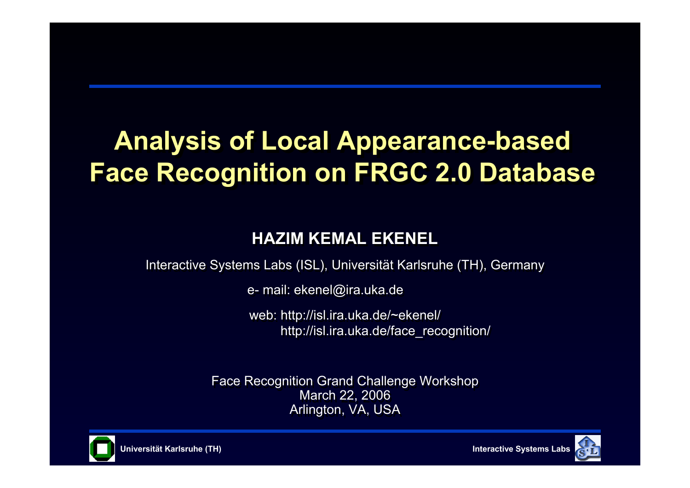# **Analysis of Local Appearance-based Analysis of Local Appearance-based Face Recognition on FRGC 2.0 Database Face Recognition on FRGC 2.0 Database**

#### **HAZIM KEMAL EKENELHAZIM KEMAL EKENEL**

Interactive Systems Labs (ISL), Universität Karlsruhe (TH), Germany Interactive Systems Labs (ISL), Universität Karlsruhe (TH), Germany

e- mail: ekenel@ira.uka.de e- mail: ekenel@ira.uka.de

web: http://isl.ira.uka.de/~ekenel/ web: http://isl.ira.uka.de/~ekenel/ http://isl.ira.uka.de/face\_recognition/ http://isl.ira.uka.de/face\_recognition/

Face Recognition Grand Challenge Workshop Face Recognition Grand Challenge Workshop March 22, 2006 March 22, 2006 Arlington, VA, USA Arlington, VA, USA



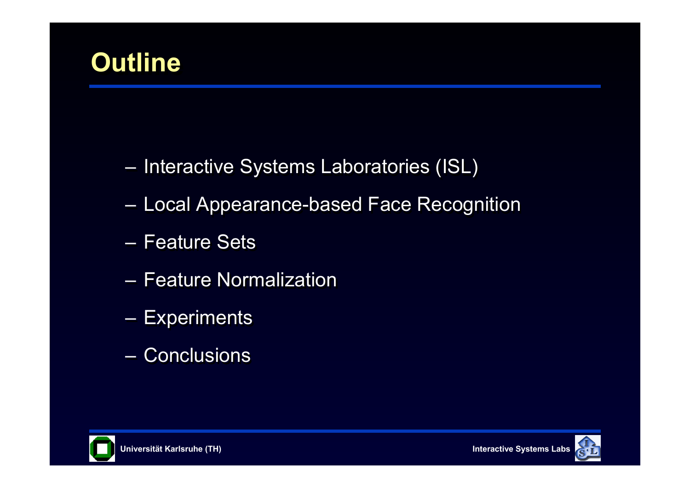

- Interactive Systems Laboratories (ISL) Interactive Systems Laboratories (ISL)
- Local Appearance-based Face Recognition –Local Appearance-based Face Recognition
- Feature Sets
- Feature Normalization
- Experiments **Experiments**
- Conclusions– Conclusions



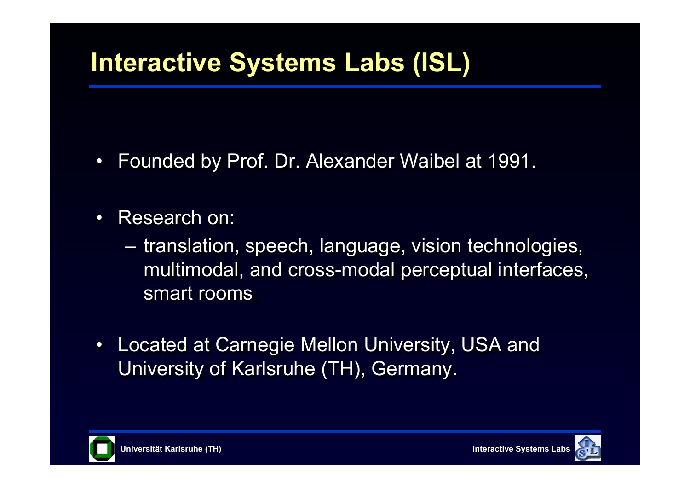# **Interactive Systems Labs (ISL) Interactive Systems Labs (ISL)**

- $\bullet$ Founded by Prof. Dr. Alexander Waibel at 1991. Founded by Prof. Dr. Alexander Waibel at 1991.
- $\bullet$ Research on:
	- translation, speech, language, vision technologies, multimodal, and cross-modal perceptual interfaces, multimodal, and cross-modal perceptual interfaces, smart rooms**,**  smart rooms**,**  translation, speech, language, vision technologies,
- •• Located at Carnegie Mellon University, USA and Located at Carnegie Mellon University, USA and University of Karlsruhe (TH), Germany. University of Karlsruhe (TH), Germany.



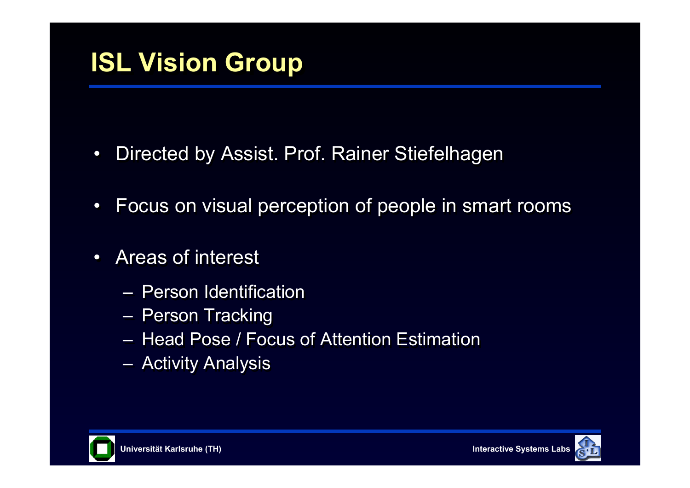- $\bullet$ Directed by Assist. Prof. Rainer Stiefelhagen Directed by Assist. Prof. Rainer Stiefelhagen
- $\bullet$ Focus on visual perception of people in smart rooms Focus on visual perception of people in smart rooms
- $\bullet$ Areas of interest
	- Person Identification
	- Person Tracking Person Tracking
	- Head Pose / Focus of Attention Estimation
	- Activity Analysis –Activity Analysis



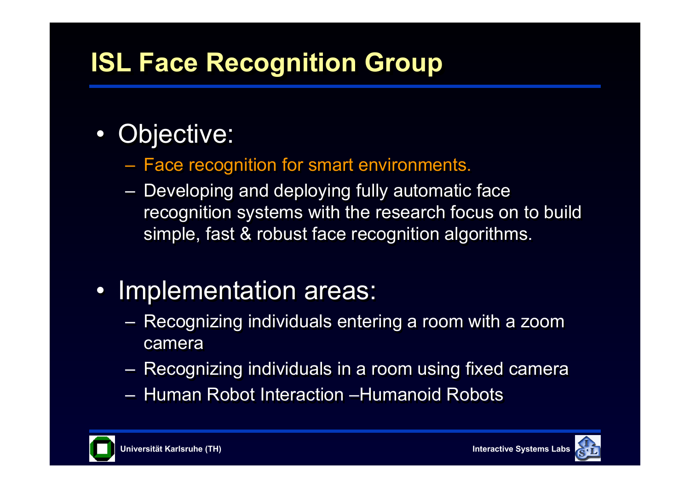# **ISL Face Recognition Group ISL Face Recognition Group**

#### $\bullet$ Objective: Objective:

- $-$  Face recognition for smart environments. Face recognition for smart environments.
- $-$  Developing and deploying fully automatic face recognition systems with the research focus on to build recognition systems with the research focus on to build simple, fast & robust face recognition algorithms. simple, fast & robust face recognition algorithms. Developing and deploying fully automatic face

# • Implementation areas: • Implementation areas:

- $-$  Recognizing individuals entering a room with a zoom  $\,$ camera Recognizing individuals entering a room with a zoom
- $-$  Recognizing individuals in a room using fixed camera Recognizing individuals in a room using fixed camera
- Human Robot Interaction –Humanoid Robots



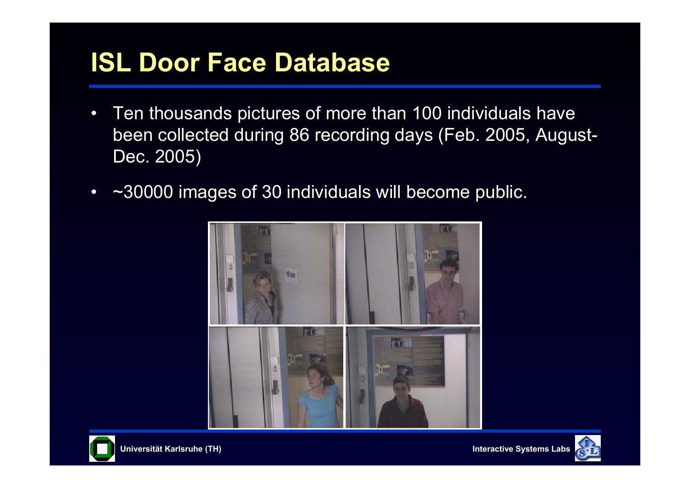# **ISL Door Face Database ISL Door Face Database**

- $\bullet$  Ten thousands pictures of more than 100 individuals have Ten thousands pictures of more than 100 individuals have been collected during 86 recording days (Feb. 2005, August-been collected during 86 recording days (Feb. 2005, August-Dec. 2005) Dec. 2005)
- $\bullet$ ~30000 images of 30 individuals will become public. ~30000 images of 30 individuals will become public.





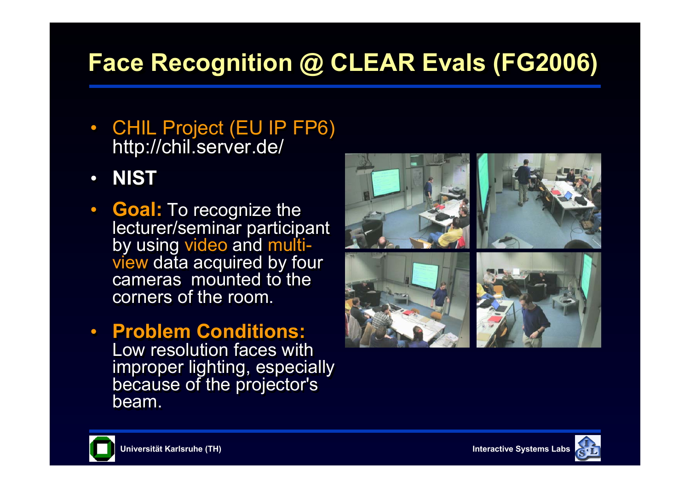# **Face Recognition @ CLEAR Evals (FG2006) Face Recognition @ CLEAR Evals (FG2006)**

- CHIL Project (EU IP FP6) CHIL Project (EU IP FP6) http://chil.server.de/ http://chil.server.de/
- $\bullet$ **NIST NIST**
- **Goal:** To recognize the **Goal:** To recognize the lecturer/seminar participant by using video and multiview data acquired by four cameras mounted to the corners of the room. lecturer/seminar participant by using video and multiview data acquired by four
- **Problem Conditions: Problem Conditions:** Low resolution faces with improper lighting, especially improper lighting, especially because of the projector's because of the projector's beam.





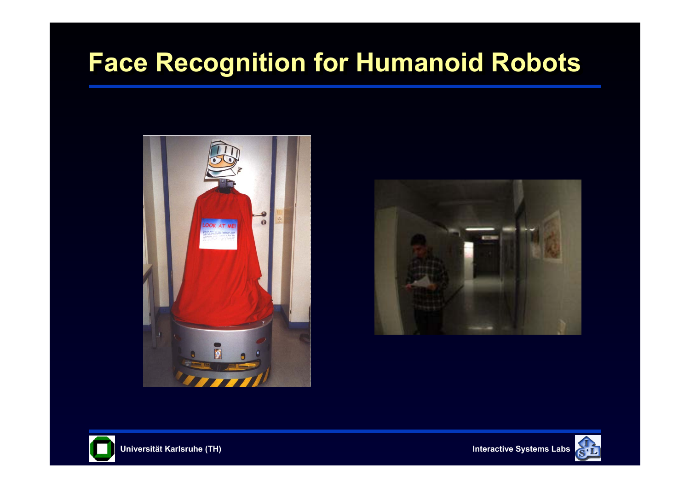# **Face Recognition for Humanoid Robots Face Recognition for Humanoid Robots**







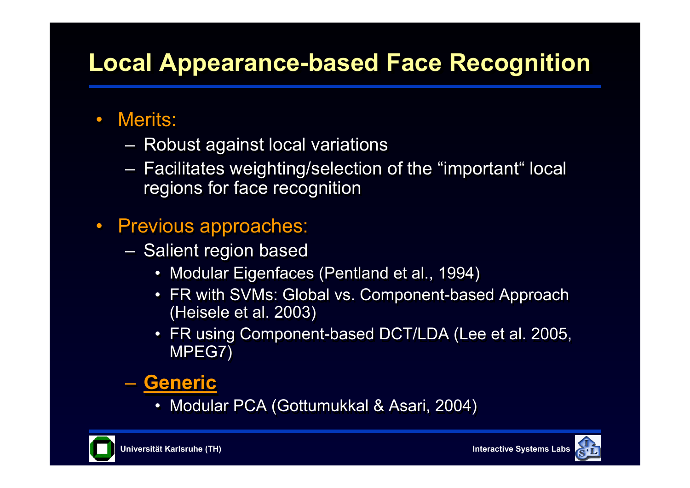# **Local Appearance-based Face Recognition Local Appearance-based Face Recognition**

#### $\bullet$ Merits:

- Robust against local variations Robust against local variations
- $-$  Facilitates weighting/selection of the "important" local  $\,$ regions for face recognition regions for face recognition Facilitates weighting/selection of the "important" local
- $\bullet$  Previous approaches: Previous approaches:
	- Salient region based Salient region based
		- Modular Eigenfaces (Pentland et al., 1994) Modular Eigenfaces (Pentland et al., 1994)
		- FR with SVMs: Global vs. Component-based Approach FR with SVMs: Global vs. Component-based Approach (Heisele et al. 2003) (Heisele et al. 2003)
		- FR using Component-based DCT/LDA (Lee et al. 2005, FR using Component-based DCT/LDA (Lee et al. 2005, MPEG7) MPEG7)

#### – **Generic** – **Generic**

• Modular PCA (Gottumukkal & Asari, 2004) • Modular PCA (Gottumukkal & Asari, 2004)



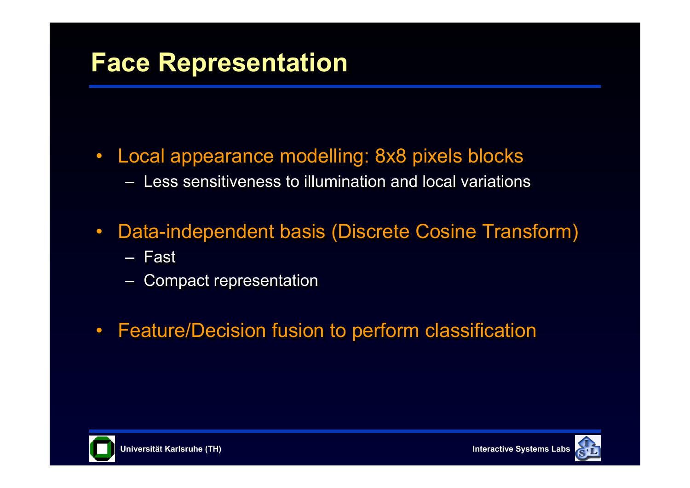## **Face Representation Face Representation**

- $\bullet$  Local appearance modelling: 8x8 pixels blocks Local appearance modelling: 8x8 pixels blocks  $-$  Less sensitiveness to illumination and local variations
- $\bullet$  Data-independent basis (Discrete Cosine Transform) Data-independent basis (Discrete Cosine Transform)
	- Fast
	- ––Compact representation Compact representation
- $\bullet$ Feature/Decision fusion to perform classification Feature/Decision fusion to perform classification





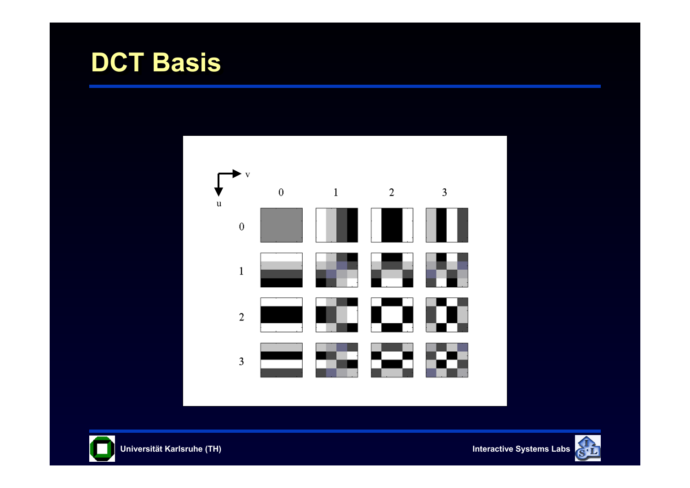





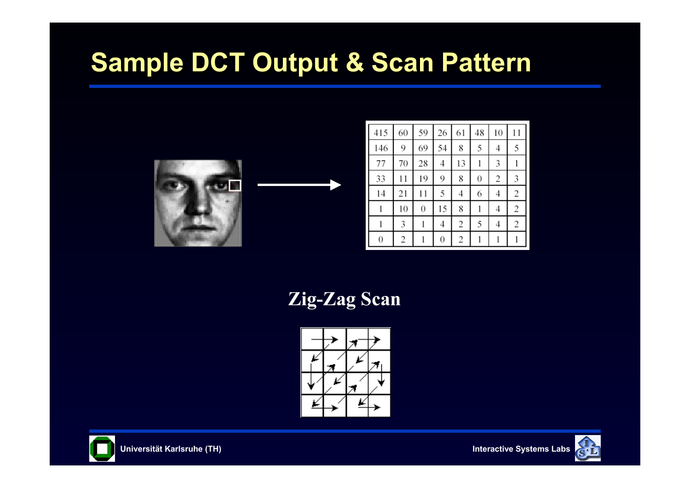# **Sample DCT Output & Scan Pattern**



| 415            | 60             | 59 | 26 | 61 | 48               | 10             | 11             |
|----------------|----------------|----|----|----|------------------|----------------|----------------|
| 146            | 9              | 69 | 54 | 8  | 5                | 4              | 5              |
| 77             | 70             | 28 | 4  | 13 |                  | 3              |                |
| 33             | 11             | 19 | 9  | 8  | $\boldsymbol{0}$ | $\overline{2}$ | 3              |
| 14             | 21             | 11 | 5  | 4  | 6                | 4              | $\overline{c}$ |
| 1              | 10             | 0  | 15 | 8  |                  | 4              | $\overline{c}$ |
|                | 3              |    | 4  | 2  | 5                | 4              | $\overline{2}$ |
| $\overline{0}$ | $\overline{c}$ |    | 0  | 2  |                  |                |                |

**Zig-Zag Scan**





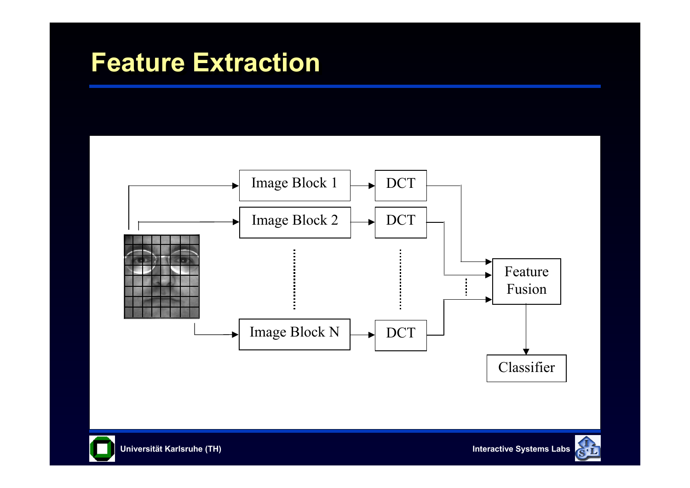### **Feature Extraction Feature Extraction**





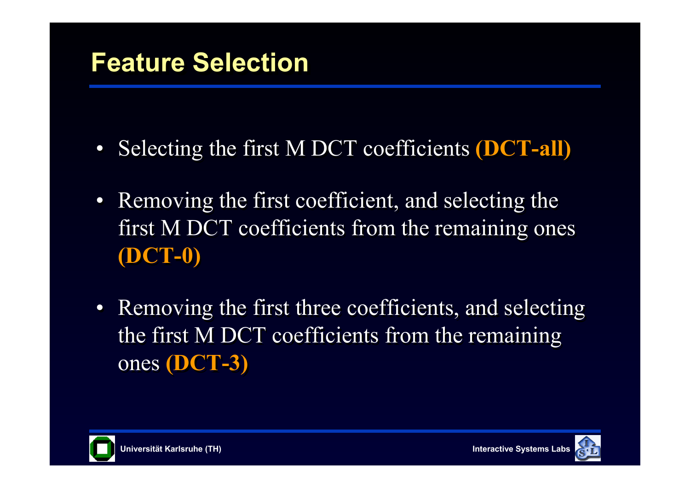- $\bullet$ Selecting the first M DCT coefficients **(DCT-all)** Selecting the first M DCT coefficients **(DCT-all)**
- $\bullet$  Removing the first coefficient, and selecting the Removing the first coefficient, and selecting the first M DCT coefficients from the remaining ones first M DCT coefficients from the remaining ones **(DCT-0) (DCT-0)**
- $\bullet$  Removing the first three coefficients, and selecting Removing the first three coefficients, and selecting the first M DCT coefficients from the remaining the first M DCT coefficients from the remaining ones **(DCT-3)** ones **(DCT-3)**



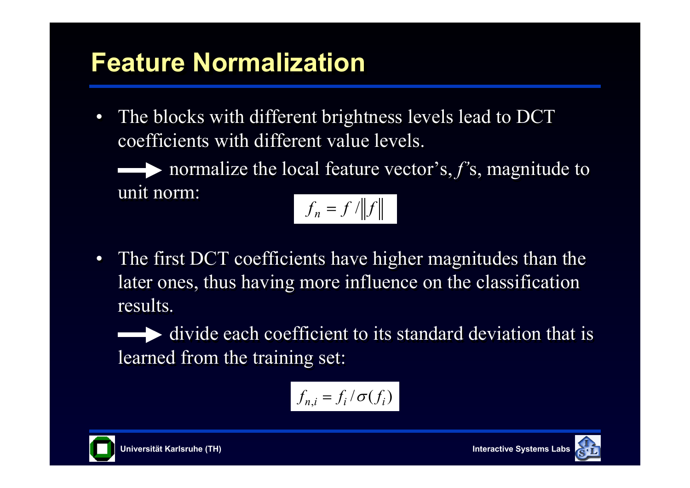# **Feature Normalization Feature Normalization**

 $\bullet$ The blocks with different brightness levels lead to DCT coefficients with different value levels. coefficients with different value levels.

normalize the local feature vector's, *f'*s, magnitude to normalize the local feature vector's, *f'*s, magnitude to unit norm: unit norm:

$$
f_n = f / \|f\|
$$

 $\bullet$  The first DCT coefficients have higher magnitudes than the The first DCT coefficients have higher magnitudes than the later ones, thus having more influence on the classification later ones, thus having more influence on the classification results. results.

divide each coefficient to its standard deviation that is divide each coefficient to its standard deviation that is learned from the training set: learned from the training set:

$$
f_{n,i} = f_i / \sigma(f_i)
$$



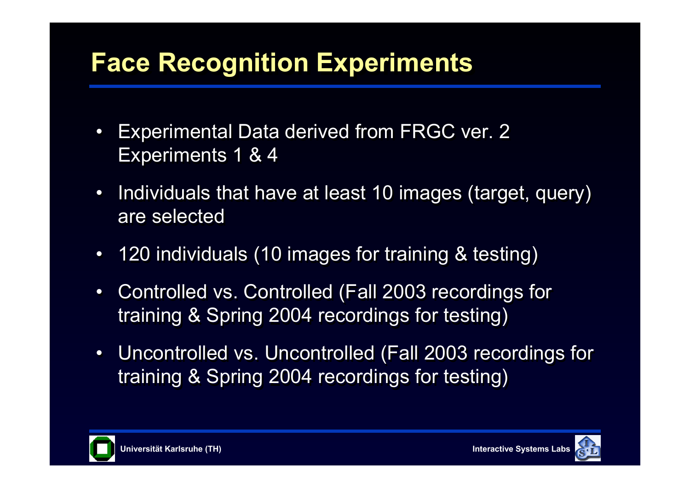# **Face Recognition Experiments Face Recognition Experiments**

- $\bullet$  Experimental Data derived from FRGC ver. 2 Experimental Data derived from FRGC ver. 2 Experiments 1 & 4 Experiments 1 & 4
- $\bullet$  Individuals that have at least 10 images (target, query) Individuals that have at least 10 images (target, query) are selected
- $\bullet$ 120 individuals (10 images for training & testing) 120 individuals (10 images for training & testing)
- •• Controlled vs. Controlled (Fall 2003 recordings for Controlled vs. Controlled (Fall 2003 recordings for training & Spring 2004 recordings for testing) training & Spring 2004 recordings for testing)
- $\bullet$  Uncontrolled vs. Uncontrolled (Fall 2003 recordings for Uncontrolled vs. Uncontrolled (Fall 2003 recordings for training & Spring 2004 recordings for testing) training & Spring 2004 recordings for testing)



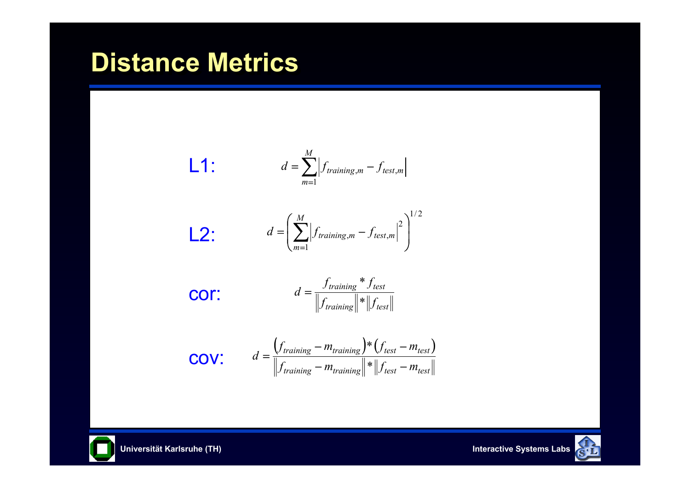## **Distance Metrics Distance Metrics**





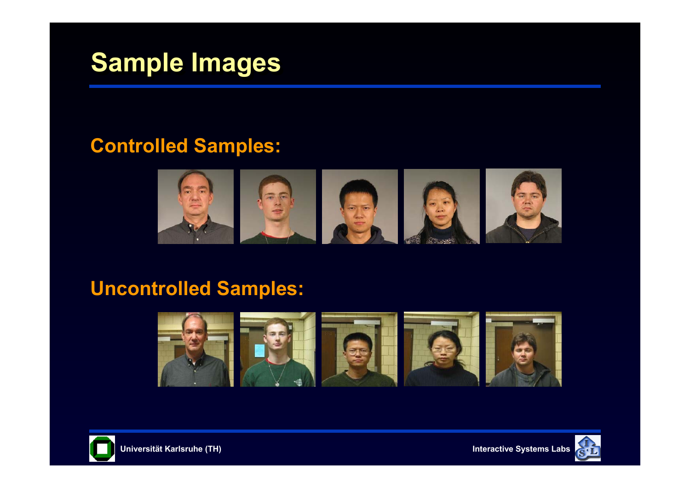## **Sample Images Sample Images**

#### **Controlled Samples:**



#### **Uncontrolled Samples:**





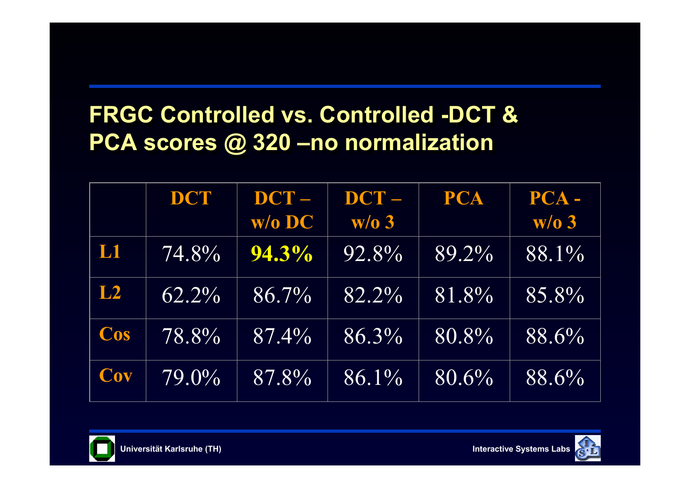## **FRGC Controlled vs. Controlled -DCT & FRGC Controlled vs. Controlled -DCT & PCA scores @ 320 –no normalization PCA scores @ 320 –no normalization**

|     | DCT      | $DCT -$<br>$\overline{\mathbf{W}}$ o DC | $DCT -$ | <b>PCA</b> | PCA-  |
|-----|----------|-----------------------------------------|---------|------------|-------|
|     |          |                                         | W/O3    |            | W/O3  |
| L1  | 74.8%    | $94.3\%$                                | 92.8%   | 89.2%      | 88.1% |
| L2  | $62.2\%$ | 86.7%                                   | 82.2%   | 81.8%      | 85.8% |
| Cos | 78.8%    | 87.4%                                   | 86.3%   | 80.8%      | 88.6% |
| Cov | 79.0%    | 87.8%                                   | 86.1%   | 80.6%      | 88.6% |



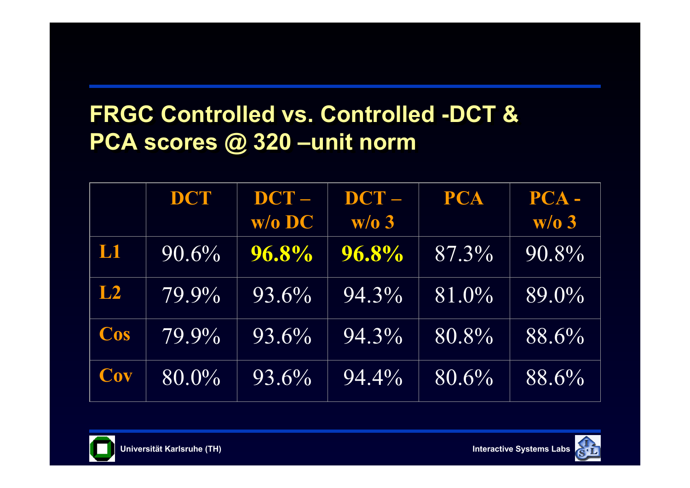## **FRGC Controlled vs. Controlled -DCT & FRGC Controlled vs. Controlled -DCT & PCA scores @ 320 –unit norm PCA scores @ 320 –unit norm**

|     | DCT      | $DCT -$  | DCT-     | <b>PCA</b> | PCA-  |
|-----|----------|----------|----------|------------|-------|
|     |          | $W/O$ DC | W/O3     |            | W/O3  |
| L1  | 90.6%    | 96.8%    | 96.8%    | 87.3%      | 90.8% |
| L2  | 79.9%    | 93.6%    | 94.3%    | 81.0%      | 89.0% |
| Cos | $79.9\%$ | 93.6%    | 94.3%    | 80.8%      | 88.6% |
| Cov | 80.0%    | 93.6%    | $94.4\%$ | 80.6%      | 88.6% |



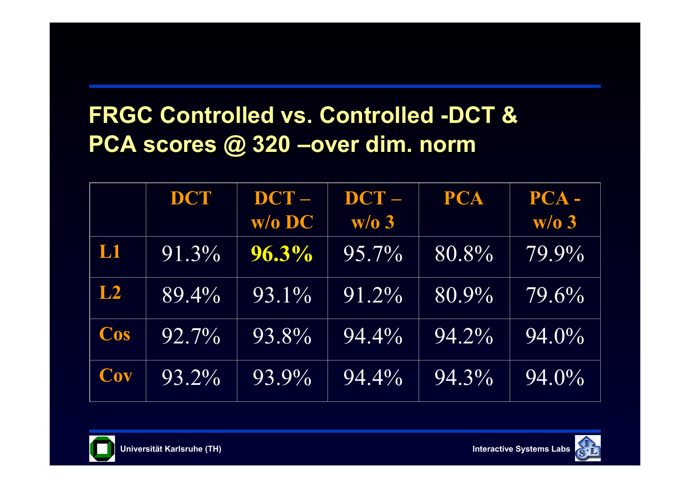## **FRGC Controlled vs. Controlled -DCT & FRGC Controlled vs. Controlled -DCT & PCA scores @ 320 –over dim. norm PCA scores @ 320 –over dim. norm**

|     | DCT      | $DCT -$<br>$W/O$ DC | $DCT -$<br>W/O3     | <b>PCA</b> | PCA-<br>$W/O$ 3 |
|-----|----------|---------------------|---------------------|------------|-----------------|
| L1  | 91.3%    | $96.3\%$            | $95.7\%$            | 80.8%      | 79.9%           |
| L2  | $89.4\%$ | 93.1%               | $\overline{91.2\%}$ | $80.9\%$   | $79.6\%$        |
| Cos | 92.7%    | 93.8%               | $94.4\%$            | 94.2%      | 94.0%           |
| Cov | 93.2%    | 93.9%               | $94.4\%$            | 94.3%      | 94.0%           |



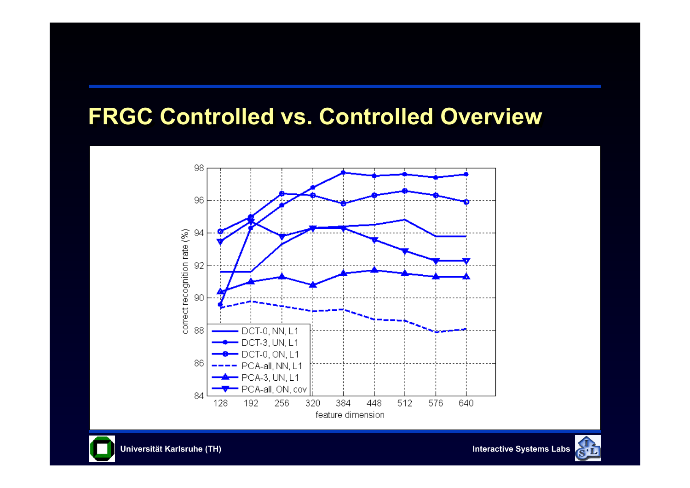#### **FRGC Controlled vs. Controlled Overview FRGC Controlled vs. Controlled Overview**





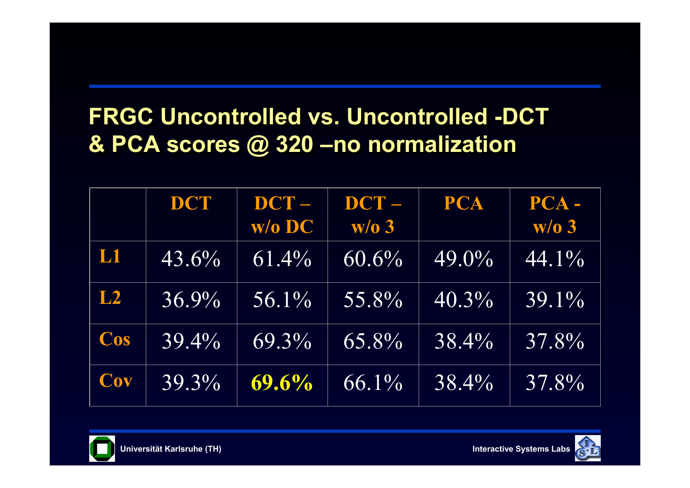## **FRGC Uncontrolled vs. Uncontrolled -DCT FRGC Uncontrolled vs. Uncontrolled -DCT & PCA scores @ 320 –no normalization & PCA scores @ 320 –no normalization**

|     | DCT      | $DCT -$<br>$W/O$ DC | $DCT -$<br>$W/O$ 3 | <b>PCA</b> | PCA-<br>W/O3 |
|-----|----------|---------------------|--------------------|------------|--------------|
| L1  | 43.6%    | $61.4\%$            | $60.6\%$           | 49.0%      | $44.1\%$     |
| L2  | $36.9\%$ | $56.1\%$            | 55.8%              | $40.3\%$   | $39.1\%$     |
| Cos | $39.4\%$ | 69.3%               | 65.8%              | 38.4%      | 37.8%        |
| Cov | 39.3%    | 69.6%               | 66.1%              | 38.4%      | 37.8%        |



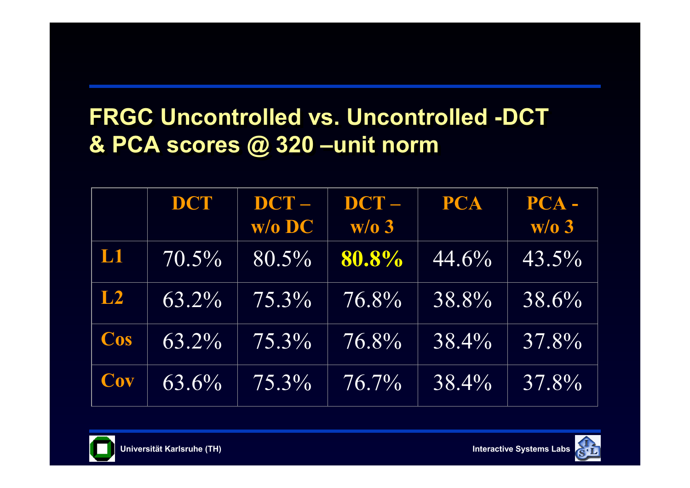## **FRGC Uncontrolled vs. Uncontrolled -DCT FRGC Uncontrolled vs. Uncontrolled -DCT & PCA scores @ 320 –unit norm & PCA scores @ 320 –unit norm**

|     | DCT      | DCT-<br>w/o DC | DCT-<br>$W/O$ 3 | <b>PCA</b> | PCA-<br>W/O3 |
|-----|----------|----------------|-----------------|------------|--------------|
| L1  | $70.5\%$ | $80.5\%$       | 80.8%           | 44.6%      | 43.5%        |
| L2  | $63.2\%$ | $75.3\%$       | 76.8%           | 38.8%      | 38.6%        |
| Cos | $63.2\%$ | 75.3%          | 76.8%           | 38.4%      | 37.8%        |
| Cov | 63.6%    | $75.3\%$       | $76.7\%$        | 38.4%      | 37.8%        |



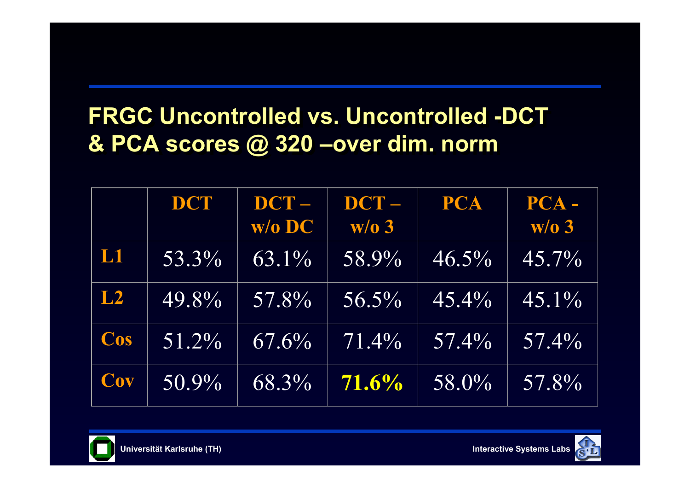## **FRGC Uncontrolled vs. Uncontrolled -DCT FRGC Uncontrolled vs. Uncontrolled -DCT & PCA scores @ 320 –over dim. norm & PCA scores @ 320 –over dim. norm**

|     | DCT      | $DCT -$  | DCT-                | <b>PCA</b> | PCA-     |
|-----|----------|----------|---------------------|------------|----------|
|     |          | $W/O$ DC | W/O3                |            | $w/o$ 3  |
| L1  | 53.3%    | $63.1\%$ | $\overline{58.9\%}$ | $46.5\%$   | $45.7\%$ |
| L2  | $49.8\%$ | 57.8%    | $56.5\%$            | $45.4\%$   | $45.1\%$ |
| Cos | $51.2\%$ | $67.6\%$ | $71.4\%$            | $57.4\%$   | $57.4\%$ |
| Cov | $50.9\%$ | 68.3%    | 71.6%               | 58.0%      | 57.8%    |



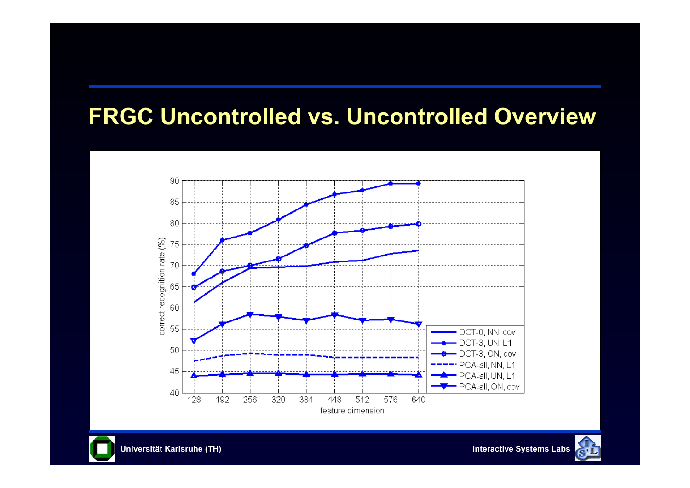#### **FRGC Uncontrolled vs. Uncontrolled Overview FRGC Uncontrolled vs. Uncontrolled Overview**





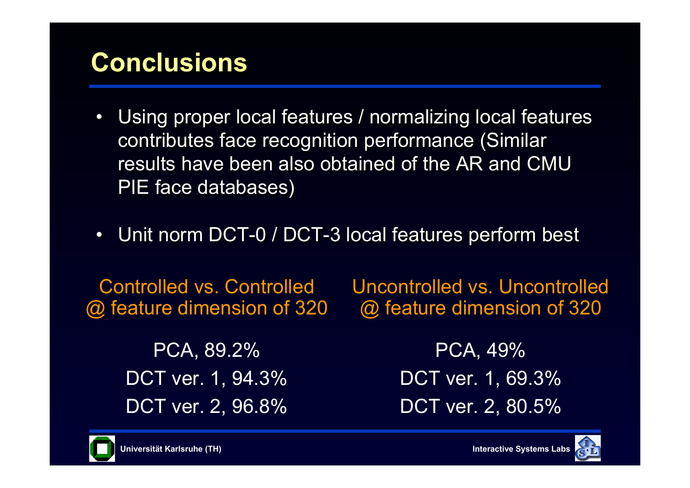# **Conclusions Conclusions**

- $\bullet$  Using proper local features / normalizing local features Using proper local features / normalizing local features contributes face recognition performance (Similar contributes face recognition performance (Similar results have been also obtained of the AR and CMU PIE face databases) PIE face databases)
- $\bullet$ Unit norm DCT-0 / DCT-3 local features perform best Unit norm DCT-0 / DCT-3 local features perform best

Controlled vs. Controlled @ feature dimension of 320 Uncontrolled vs. Uncontrolled @ feature dimension of 320

PCA, 89.2% DCT ver. 1, 94.3% DCT ver. 2, 96.8%

PCA, 49% DCT ver. 1, 69.3% DCT ver. 2, 80.5%